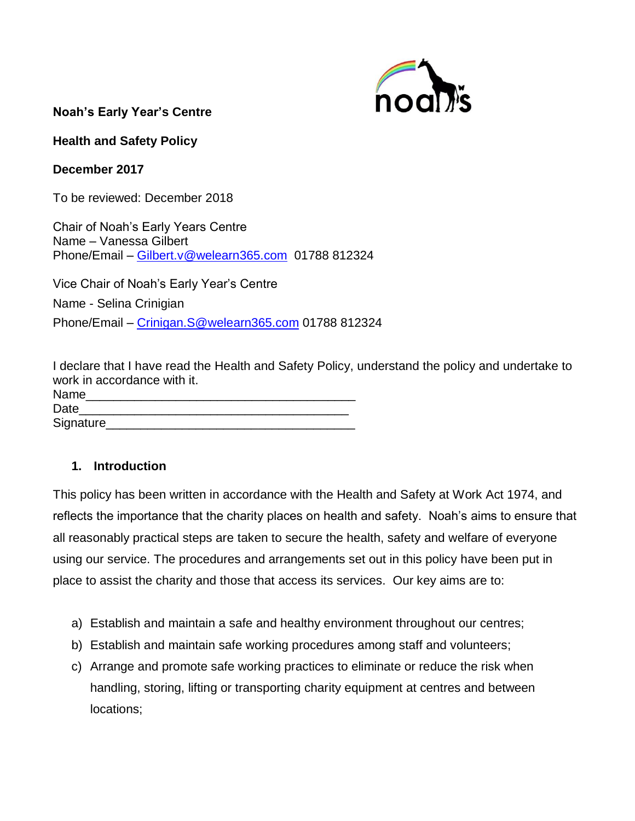

**Noah's Early Year's Centre** 

**Health and Safety Policy**

**December 2017**

To be reviewed: December 2018

Chair of Noah's Early Years Centre Name – Vanessa Gilbert Phone/Email – [Gilbert.v@welearn365.com](mailto:Gilbert.v@welearn365.com) 01788 812324

Vice Chair of Noah's Early Year's Centre Name - Selina Crinigian Phone/Email - [Crinigan.S@welearn365.com](mailto:Crinigan.S@welearn365.com) 01788 812324

I declare that I have read the Health and Safety Policy, understand the policy and undertake to work in accordance with it.

| Name       |  |  |  |
|------------|--|--|--|
| Date       |  |  |  |
| Signature_ |  |  |  |

## **1. Introduction**

This policy has been written in accordance with the Health and Safety at Work Act 1974, and reflects the importance that the charity places on health and safety. Noah's aims to ensure that all reasonably practical steps are taken to secure the health, safety and welfare of everyone using our service. The procedures and arrangements set out in this policy have been put in place to assist the charity and those that access its services. Our key aims are to:

- a) Establish and maintain a safe and healthy environment throughout our centres;
- b) Establish and maintain safe working procedures among staff and volunteers;
- c) Arrange and promote safe working practices to eliminate or reduce the risk when handling, storing, lifting or transporting charity equipment at centres and between locations;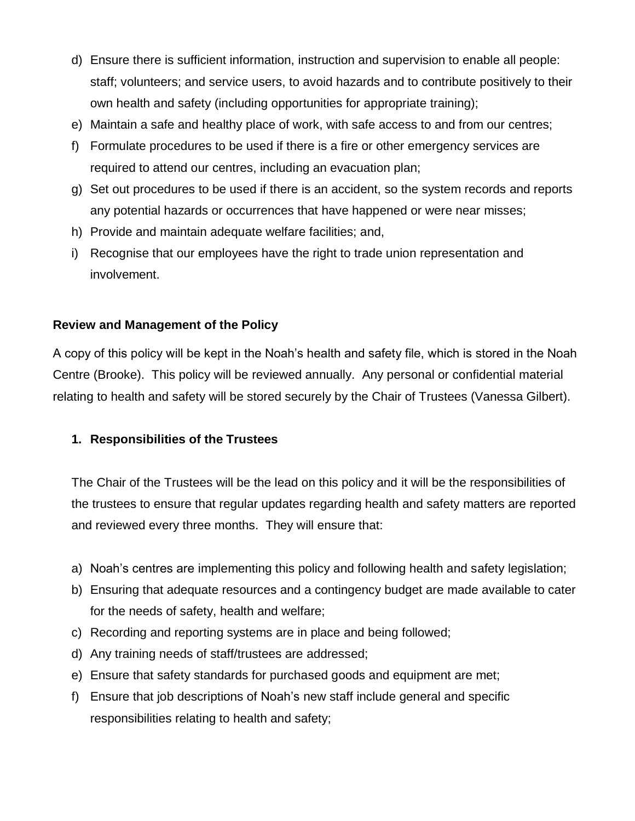- d) Ensure there is sufficient information, instruction and supervision to enable all people: staff; volunteers; and service users, to avoid hazards and to contribute positively to their own health and safety (including opportunities for appropriate training);
- e) Maintain a safe and healthy place of work, with safe access to and from our centres;
- f) Formulate procedures to be used if there is a fire or other emergency services are required to attend our centres, including an evacuation plan;
- g) Set out procedures to be used if there is an accident, so the system records and reports any potential hazards or occurrences that have happened or were near misses;
- h) Provide and maintain adequate welfare facilities; and,
- i) Recognise that our employees have the right to trade union representation and involvement.

## **Review and Management of the Policy**

A copy of this policy will be kept in the Noah's health and safety file, which is stored in the Noah Centre (Brooke). This policy will be reviewed annually. Any personal or confidential material relating to health and safety will be stored securely by the Chair of Trustees (Vanessa Gilbert).

# **1. Responsibilities of the Trustees**

The Chair of the Trustees will be the lead on this policy and it will be the responsibilities of the trustees to ensure that regular updates regarding health and safety matters are reported and reviewed every three months. They will ensure that:

- a) Noah's centres are implementing this policy and following health and safety legislation;
- b) Ensuring that adequate resources and a contingency budget are made available to cater for the needs of safety, health and welfare;
- c) Recording and reporting systems are in place and being followed;
- d) Any training needs of staff/trustees are addressed;
- e) Ensure that safety standards for purchased goods and equipment are met;
- f) Ensure that job descriptions of Noah's new staff include general and specific responsibilities relating to health and safety;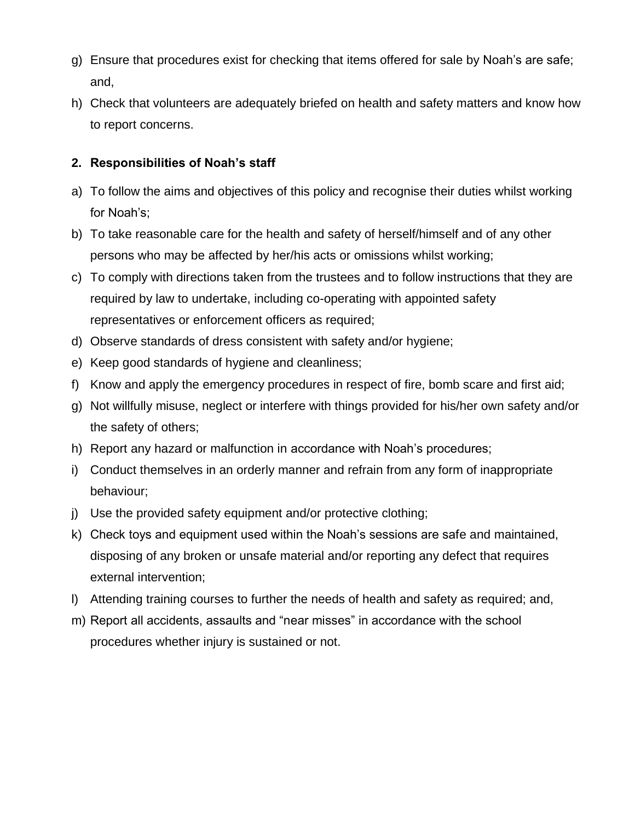- g) Ensure that procedures exist for checking that items offered for sale by Noah's are safe; and,
- h) Check that volunteers are adequately briefed on health and safety matters and know how to report concerns.

# **2. Responsibilities of Noah's staff**

- a) To follow the aims and objectives of this policy and recognise their duties whilst working for Noah's;
- b) To take reasonable care for the health and safety of herself/himself and of any other persons who may be affected by her/his acts or omissions whilst working;
- c) To comply with directions taken from the trustees and to follow instructions that they are required by law to undertake, including co-operating with appointed safety representatives or enforcement officers as required;
- d) Observe standards of dress consistent with safety and/or hygiene;
- e) Keep good standards of hygiene and cleanliness;
- f) Know and apply the emergency procedures in respect of fire, bomb scare and first aid;
- g) Not willfully misuse, neglect or interfere with things provided for his/her own safety and/or the safety of others;
- h) Report any hazard or malfunction in accordance with Noah's procedures;
- i) Conduct themselves in an orderly manner and refrain from any form of inappropriate behaviour;
- j) Use the provided safety equipment and/or protective clothing;
- k) Check toys and equipment used within the Noah's sessions are safe and maintained, disposing of any broken or unsafe material and/or reporting any defect that requires external intervention;
- l) Attending training courses to further the needs of health and safety as required; and,
- m) Report all accidents, assaults and "near misses" in accordance with the school procedures whether injury is sustained or not.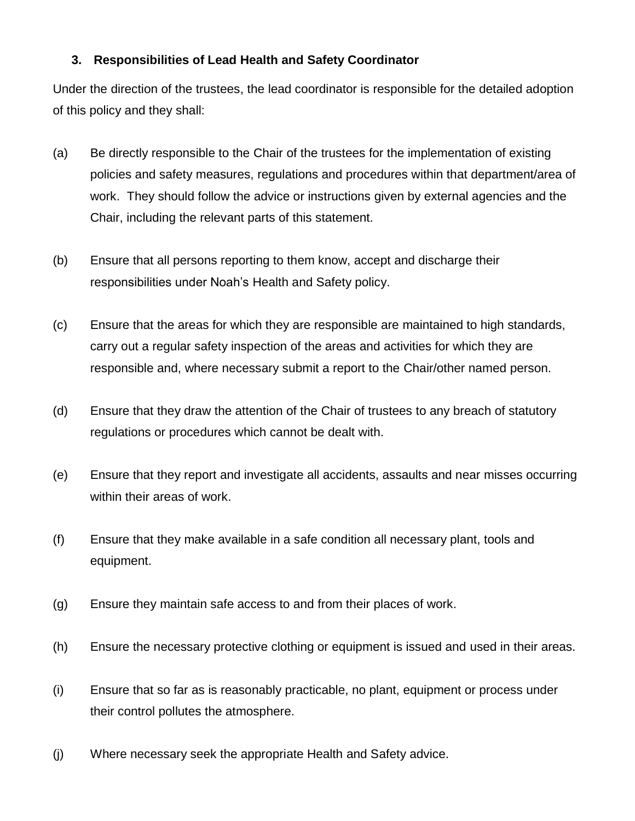## **3. Responsibilities of Lead Health and Safety Coordinator**

Under the direction of the trustees, the lead coordinator is responsible for the detailed adoption of this policy and they shall:

- (a) Be directly responsible to the Chair of the trustees for the implementation of existing policies and safety measures, regulations and procedures within that department/area of work. They should follow the advice or instructions given by external agencies and the Chair, including the relevant parts of this statement.
- (b) Ensure that all persons reporting to them know, accept and discharge their responsibilities under Noah's Health and Safety policy.
- (c) Ensure that the areas for which they are responsible are maintained to high standards, carry out a regular safety inspection of the areas and activities for which they are responsible and, where necessary submit a report to the Chair/other named person.
- (d) Ensure that they draw the attention of the Chair of trustees to any breach of statutory regulations or procedures which cannot be dealt with.
- (e) Ensure that they report and investigate all accidents, assaults and near misses occurring within their areas of work.
- (f) Ensure that they make available in a safe condition all necessary plant, tools and equipment.
- (g) Ensure they maintain safe access to and from their places of work.
- (h) Ensure the necessary protective clothing or equipment is issued and used in their areas.
- (i) Ensure that so far as is reasonably practicable, no plant, equipment or process under their control pollutes the atmosphere.
- (j) Where necessary seek the appropriate Health and Safety advice.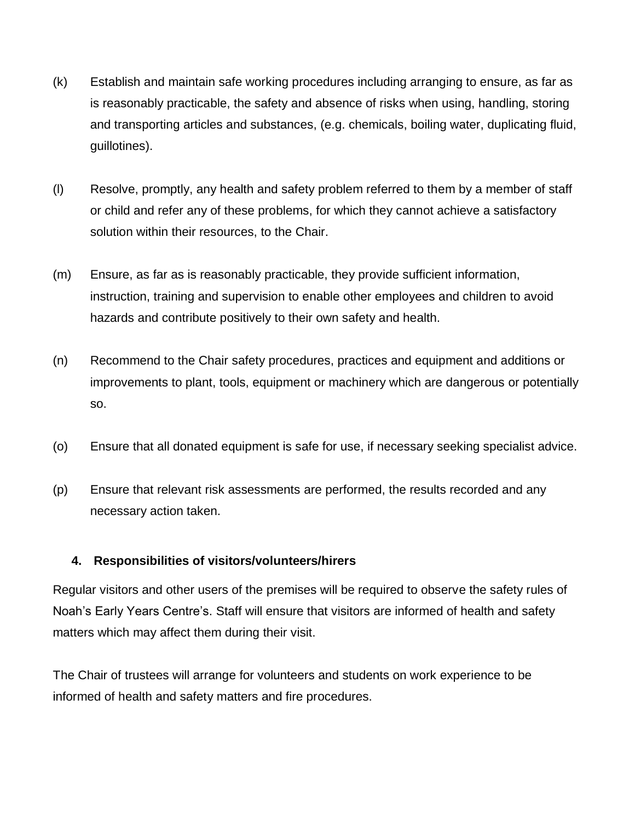- (k) Establish and maintain safe working procedures including arranging to ensure, as far as is reasonably practicable, the safety and absence of risks when using, handling, storing and transporting articles and substances, (e.g. chemicals, boiling water, duplicating fluid, guillotines).
- (l) Resolve, promptly, any health and safety problem referred to them by a member of staff or child and refer any of these problems, for which they cannot achieve a satisfactory solution within their resources, to the Chair.
- (m) Ensure, as far as is reasonably practicable, they provide sufficient information, instruction, training and supervision to enable other employees and children to avoid hazards and contribute positively to their own safety and health.
- (n) Recommend to the Chair safety procedures, practices and equipment and additions or improvements to plant, tools, equipment or machinery which are dangerous or potentially so.
- (o) Ensure that all donated equipment is safe for use, if necessary seeking specialist advice.
- (p) Ensure that relevant risk assessments are performed, the results recorded and any necessary action taken.

#### **4. Responsibilities of visitors/volunteers/hirers**

Regular visitors and other users of the premises will be required to observe the safety rules of Noah's Early Years Centre's. Staff will ensure that visitors are informed of health and safety matters which may affect them during their visit.

The Chair of trustees will arrange for volunteers and students on work experience to be informed of health and safety matters and fire procedures.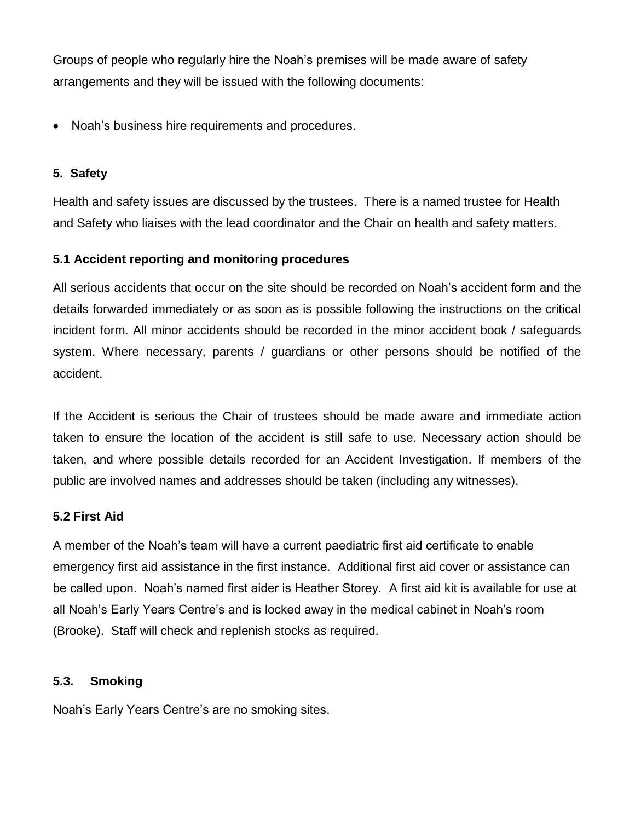Groups of people who regularly hire the Noah's premises will be made aware of safety arrangements and they will be issued with the following documents:

• Noah's business hire requirements and procedures.

#### **5. Safety**

Health and safety issues are discussed by the trustees. There is a named trustee for Health and Safety who liaises with the lead coordinator and the Chair on health and safety matters.

## **5.1 Accident reporting and monitoring procedures**

All serious accidents that occur on the site should be recorded on Noah's accident form and the details forwarded immediately or as soon as is possible following the instructions on the critical incident form. All minor accidents should be recorded in the minor accident book / safeguards system. Where necessary, parents / guardians or other persons should be notified of the accident.

If the Accident is serious the Chair of trustees should be made aware and immediate action taken to ensure the location of the accident is still safe to use. Necessary action should be taken, and where possible details recorded for an Accident Investigation. If members of the public are involved names and addresses should be taken (including any witnesses).

## **5.2 First Aid**

A member of the Noah's team will have a current paediatric first aid certificate to enable emergency first aid assistance in the first instance. Additional first aid cover or assistance can be called upon. Noah's named first aider is Heather Storey. A first aid kit is available for use at all Noah's Early Years Centre's and is locked away in the medical cabinet in Noah's room (Brooke). Staff will check and replenish stocks as required.

## **5.3. Smoking**

Noah's Early Years Centre's are no smoking sites.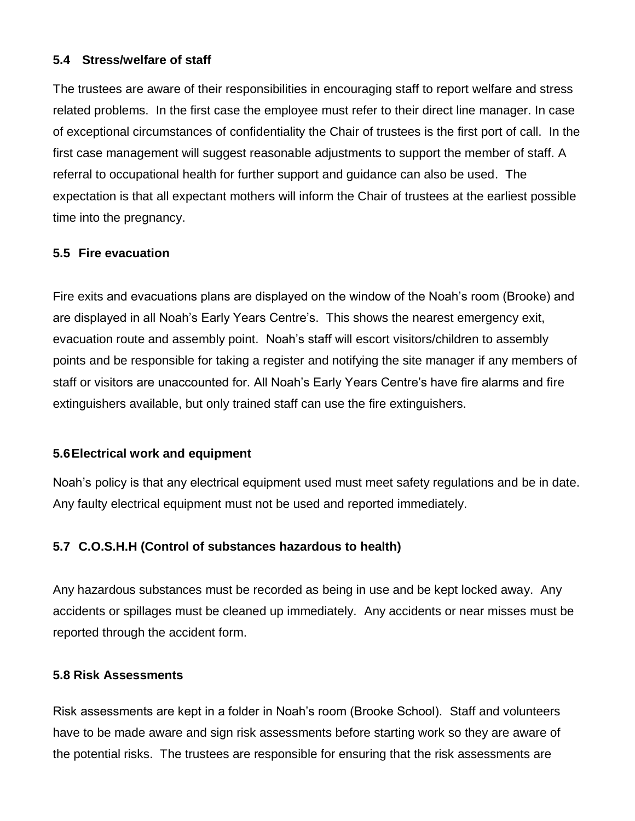#### **5.4 Stress/welfare of staff**

The trustees are aware of their responsibilities in encouraging staff to report welfare and stress related problems. In the first case the employee must refer to their direct line manager. In case of exceptional circumstances of confidentiality the Chair of trustees is the first port of call. In the first case management will suggest reasonable adjustments to support the member of staff. A referral to occupational health for further support and guidance can also be used. The expectation is that all expectant mothers will inform the Chair of trustees at the earliest possible time into the pregnancy.

#### **5.5 Fire evacuation**

Fire exits and evacuations plans are displayed on the window of the Noah's room (Brooke) and are displayed in all Noah's Early Years Centre's. This shows the nearest emergency exit, evacuation route and assembly point. Noah's staff will escort visitors/children to assembly points and be responsible for taking a register and notifying the site manager if any members of staff or visitors are unaccounted for. All Noah's Early Years Centre's have fire alarms and fire extinguishers available, but only trained staff can use the fire extinguishers.

#### **5.6Electrical work and equipment**

Noah's policy is that any electrical equipment used must meet safety regulations and be in date. Any faulty electrical equipment must not be used and reported immediately.

## **5.7 C.O.S.H.H (Control of substances hazardous to health)**

Any hazardous substances must be recorded as being in use and be kept locked away. Any accidents or spillages must be cleaned up immediately. Any accidents or near misses must be reported through the accident form.

#### **5.8 Risk Assessments**

Risk assessments are kept in a folder in Noah's room (Brooke School). Staff and volunteers have to be made aware and sign risk assessments before starting work so they are aware of the potential risks. The trustees are responsible for ensuring that the risk assessments are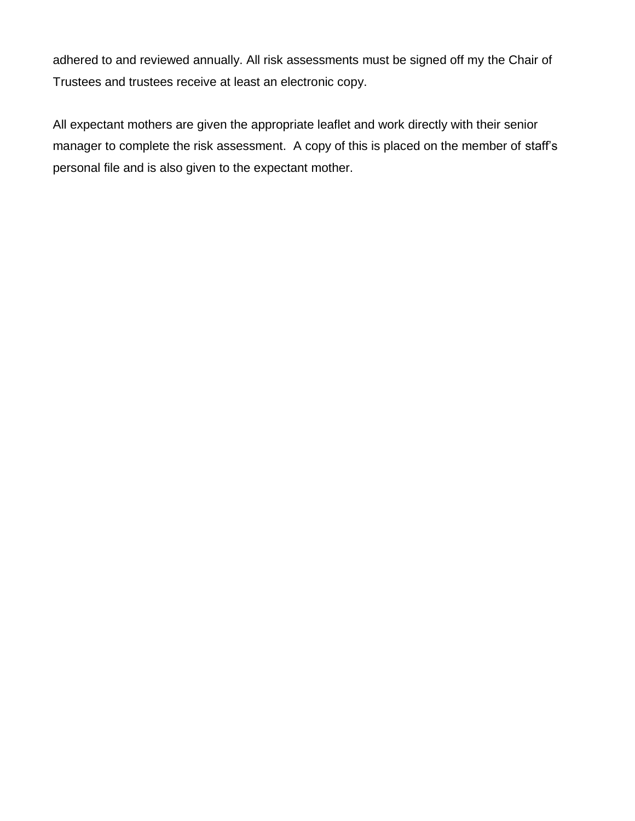adhered to and reviewed annually. All risk assessments must be signed off my the Chair of Trustees and trustees receive at least an electronic copy.

All expectant mothers are given the appropriate leaflet and work directly with their senior manager to complete the risk assessment. A copy of this is placed on the member of staff's personal file and is also given to the expectant mother.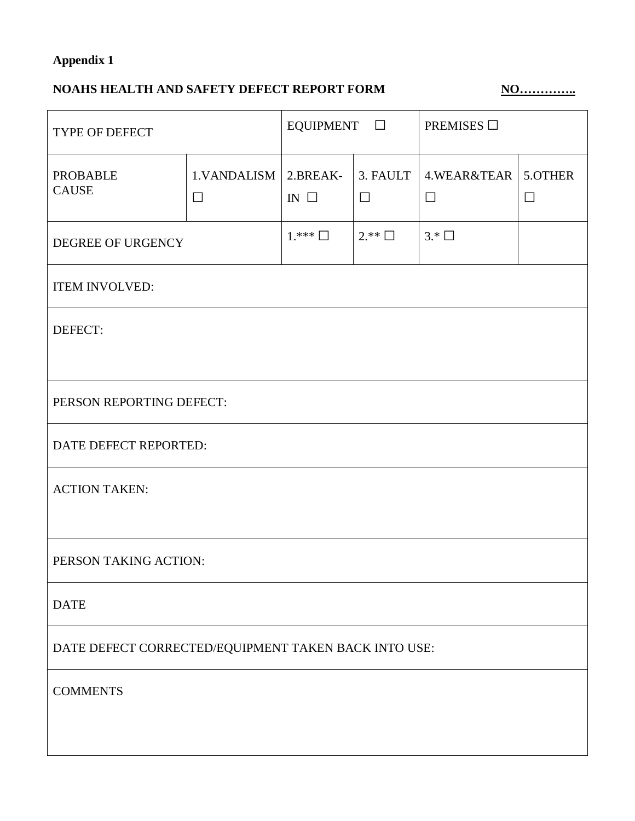# **Appendix 1**

# **NOAHS HEALTH AND SAFETY DEFECT REPORT FORM NO...............**

| TYPE OF DEFECT                                       |                                    | EQUIPMENT $\Box$ |                    | PREMISES $\Box$       |                   |  |  |
|------------------------------------------------------|------------------------------------|------------------|--------------------|-----------------------|-------------------|--|--|
| <b>PROBABLE</b><br><b>CAUSE</b>                      | 1. VANDALISM   2. BREAK-<br>$\Box$ | IN $\square$     | 3. FAULT<br>$\Box$ | 4.WEAR&TEAR<br>$\Box$ | 5.OTHER<br>$\Box$ |  |  |
| DEGREE OF URGENCY                                    |                                    | $1.***$ $\Box$   | $2.*^*$            | $3.*\Box$             |                   |  |  |
| <b>ITEM INVOLVED:</b>                                |                                    |                  |                    |                       |                   |  |  |
| DEFECT:                                              |                                    |                  |                    |                       |                   |  |  |
| PERSON REPORTING DEFECT:                             |                                    |                  |                    |                       |                   |  |  |
| DATE DEFECT REPORTED:                                |                                    |                  |                    |                       |                   |  |  |
| <b>ACTION TAKEN:</b>                                 |                                    |                  |                    |                       |                   |  |  |
| PERSON TAKING ACTION:                                |                                    |                  |                    |                       |                   |  |  |
| <b>DATE</b>                                          |                                    |                  |                    |                       |                   |  |  |
| DATE DEFECT CORRECTED/EQUIPMENT TAKEN BACK INTO USE: |                                    |                  |                    |                       |                   |  |  |
| <b>COMMENTS</b>                                      |                                    |                  |                    |                       |                   |  |  |
|                                                      |                                    |                  |                    |                       |                   |  |  |